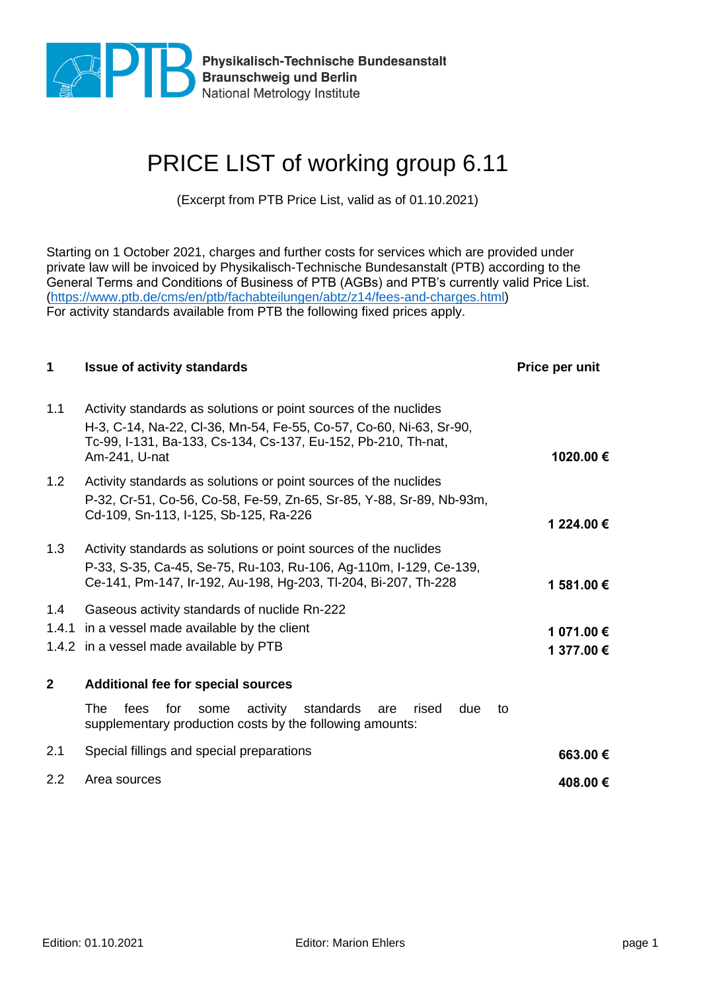

Physikalisch-Technische Bundesanstalt<br>Braunschweig und Berlin<br>National Metrology Institute National Metrology Institute

## PRICE LIST of working group 6.11

(Excerpt from PTB Price List, valid as of 01.10.2021)

Starting on 1 October 2021, charges and further costs for services which are provided under private law will be invoiced by Physikalisch-Technische Bundesanstalt (PTB) according to the General Terms and Conditions of Business of PTB (AGBs) and PTB's currently valid Price List. [\(https://www.ptb.de/cms/en/ptb/fachabteilungen/abtz/z14/fees-and-charges.html\)](https://www.ptb.de/cms/en/ptb/fachabteilungen/abtz/z14/fees-and-charges.html) For activity standards available from PTB the following fixed prices apply.

| 1            | <b>Issue of activity standards</b>                                                                                                                                                                                       | Price per unit           |
|--------------|--------------------------------------------------------------------------------------------------------------------------------------------------------------------------------------------------------------------------|--------------------------|
| 1.1          | Activity standards as solutions or point sources of the nuclides<br>H-3, C-14, Na-22, Cl-36, Mn-54, Fe-55, Co-57, Co-60, Ni-63, Sr-90,<br>Tc-99, I-131, Ba-133, Cs-134, Cs-137, Eu-152, Pb-210, Th-nat,<br>Am-241, U-nat | 1020.00 €                |
| 1.2          | Activity standards as solutions or point sources of the nuclides<br>P-32, Cr-51, Co-56, Co-58, Fe-59, Zn-65, Sr-85, Y-88, Sr-89, Nb-93m,<br>Cd-109, Sn-113, I-125, Sb-125, Ra-226                                        | 1 224.00 €               |
| 1.3          | Activity standards as solutions or point sources of the nuclides<br>P-33, S-35, Ca-45, Se-75, Ru-103, Ru-106, Ag-110m, I-129, Ce-139,<br>Ce-141, Pm-147, Ir-192, Au-198, Hg-203, TI-204, Bi-207, Th-228                  | 1 581.00 €               |
| 1.4          | Gaseous activity standards of nuclide Rn-222<br>1.4.1 in a vessel made available by the client<br>1.4.2 in a vessel made available by PTB                                                                                | 1 071.00 €<br>1 377.00 € |
| $\mathbf{2}$ | <b>Additional fee for special sources</b><br>The<br>activity standards<br>fees<br>for<br>rised<br>some<br>are<br>due<br>to<br>supplementary production costs by the following amounts:                                   |                          |
| 2.1          | Special fillings and special preparations                                                                                                                                                                                | 663.00 €                 |
| 2.2          | Area sources                                                                                                                                                                                                             | 408.00€                  |